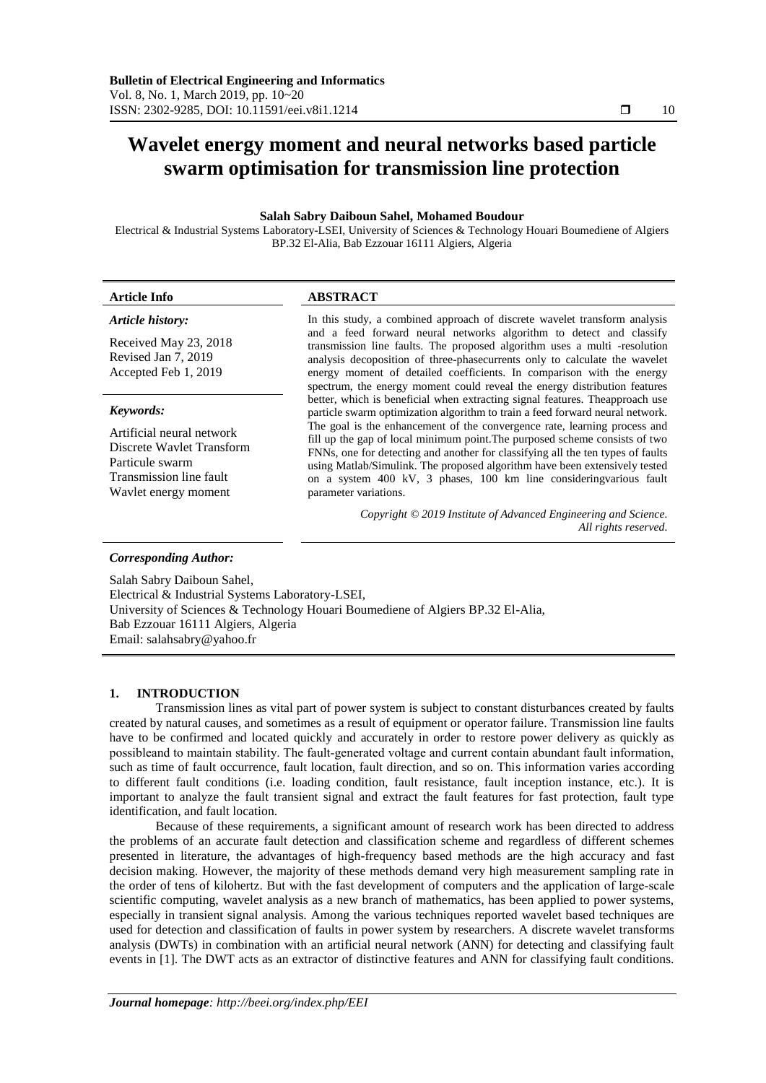# **Wavelet energy moment and neural networks based particle swarm optimisation for transmission line protection**

## **Salah Sabry Daiboun Sahel, Mohamed Boudour**

Electrical & Industrial Systems Laboratory-LSEI, University of Sciences & Technology Houari Boumediene of Algiers BP.32 El-Alia, Bab Ezzouar 16111 Algiers, Algeria

# **Article Info ABSTRACT**

## *Article history:*

Received May 23, 2018 Revised Jan 7, 2019 Accepted Feb 1, 2019

#### *Keywords:*

Artificial neural network Discrete Wavlet Transform Particule swarm Transmission line fault Wavlet energy moment

#### In this study, a combined approach of discrete wavelet transform analysis and a feed forward neural networks algorithm to detect and classify transmission line faults. The proposed algorithm uses a multi -resolution analysis decoposition of three-phasecurrents only to calculate the wavelet energy moment of detailed coefficients. In comparison with the energy spectrum, the energy moment could reveal the energy distribution features better, which is beneficial when extracting signal features. Theapproach use particle swarm optimization algorithm to train a feed forward neural network. The goal is the enhancement of the convergence rate, learning process and fill up the gap of local minimum point.The purposed scheme consists of two FNNs, one for detecting and another for classifying all the ten types of faults using Matlab/Simulink. The proposed algorithm have been extensively tested on a system 400 kV, 3 phases, 100 km line consideringvarious fault parameter variations.

*Copyright © 2019 Institute of Advanced Engineering and Science. All rights reserved.*

## *Corresponding Author:*

Salah Sabry Daiboun Sahel, Electrical & Industrial Systems Laboratory-LSEI, University of Sciences & Technology Houari Boumediene of Algiers BP.32 El-Alia, Bab Ezzouar 16111 Algiers, Algeria Email: salahsabry@yahoo.fr

## **1. INTRODUCTION**

Transmission lines as vital part of power system is subject to constant disturbances created by faults created by natural causes, and sometimes as a result of equipment or operator failure. Transmission line faults have to be confirmed and located quickly and accurately in order to restore power delivery as quickly as possibleand to maintain stability. The fault‐generated voltage and current contain abundant fault information, such as time of fault occurrence, fault location, fault direction, and so on. This information varies according to different fault conditions (i.e. loading condition, fault resistance, fault inception instance, etc.). It is important to analyze the fault transient signal and extract the fault features for fast protection, fault type identification, and fault location.

Because of these requirements, a significant amount of research work has been directed to address the problems of an accurate fault detection and classification scheme and regardless of different schemes presented in literature, the advantages of high-frequency based methods are the high accuracy and fast decision making. However, the majority of these methods demand very high measurement sampling rate in the order of tens of kilohertz. But with the fast development of computers and the application of large‐scale scientific computing, wavelet analysis as a new branch of mathematics, has been applied to power systems, especially in transient signal analysis. Among the various techniques reported wavelet based techniques are used for detection and classification of faults in power system by researchers. A discrete wavelet transforms analysis (DWTs) in combination with an artificial neural network (ANN) for detecting and classifying fault events in [1]. The DWT acts as an extractor of distinctive features and ANN for classifying fault conditions.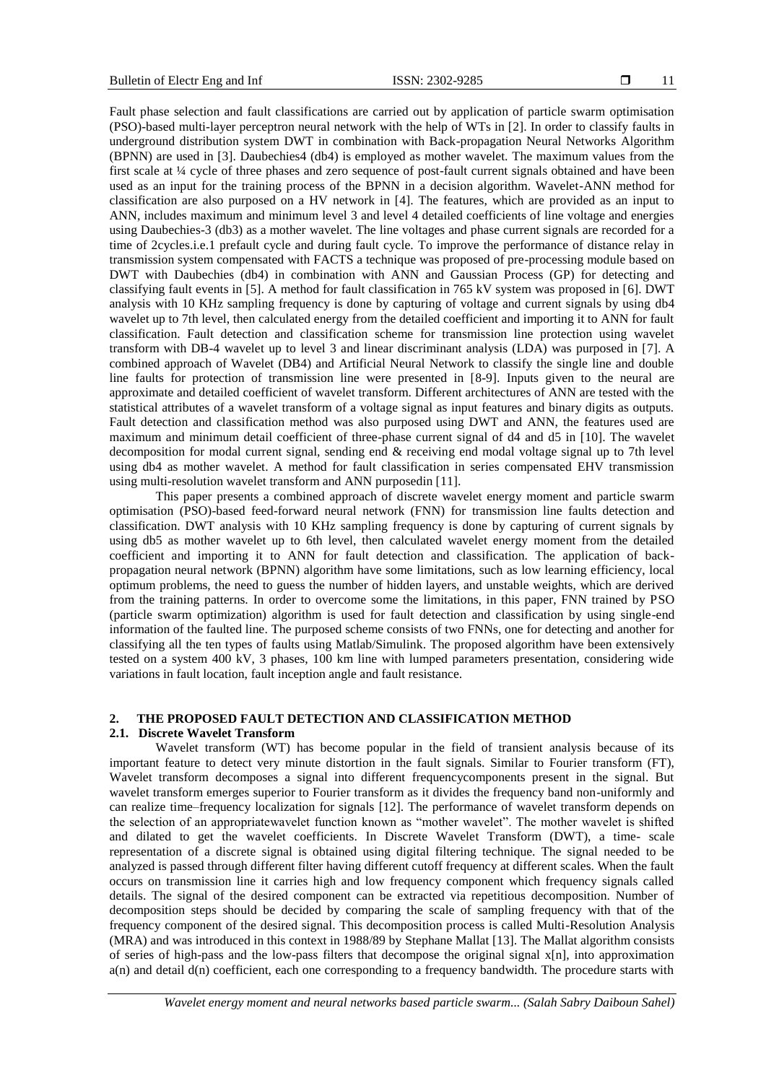Fault phase selection and fault classifications are carried out by application of particle swarm optimisation (PSO)-based multi-layer perceptron neural network with the help of WTs in [2]. In order to classify faults in underground distribution system DWT in combination with Back-propagation Neural Networks Algorithm (BPNN) are used in [3]. Daubechies4 (db4) is employed as mother wavelet. The maximum values from the first scale at ¼ cycle of three phases and zero sequence of post-fault current signals obtained and have been used as an input for the training process of the BPNN in a decision algorithm. Wavelet-ANN method for classification are also purposed on a HV network in [4]. The features, which are provided as an input to ANN, includes maximum and minimum level 3 and level 4 detailed coefficients of line voltage and energies using Daubechies-3 (db3) as a mother wavelet. The line voltages and phase current signals are recorded for a time of 2cycles.i.e.1 prefault cycle and during fault cycle. To improve the performance of distance relay in transmission system compensated with FACTS a technique was proposed of pre-processing module based on DWT with Daubechies (db4) in combination with ANN and Gaussian Process (GP) for detecting and classifying fault events in [5]. A method for fault classification in 765 kV system was proposed in [6]. DWT analysis with 10 KHz sampling frequency is done by capturing of voltage and current signals by using db4 wavelet up to 7th level, then calculated energy from the detailed coefficient and importing it to ANN for fault classification. Fault detection and classification scheme for transmission line protection using wavelet transform with DB-4 wavelet up to level 3 and linear discriminant analysis (LDA) was purposed in [7]. A combined approach of Wavelet (DB4) and Artificial Neural Network to classify the single line and double line faults for protection of transmission line were presented in [8-9]. Inputs given to the neural are approximate and detailed coefficient of wavelet transform. Different architectures of ANN are tested with the statistical attributes of a wavelet transform of a voltage signal as input features and binary digits as outputs. Fault detection and classification method was also purposed using DWT and ANN, the features used are maximum and minimum detail coefficient of three-phase current signal of d4 and d5 in [10]. The wavelet decomposition for modal current signal, sending end & receiving end modal voltage signal up to 7th level using db4 as mother wavelet. A method for fault classification in series compensated EHV transmission using multi-resolution wavelet transform and ANN purposedin [11].

This paper presents a combined approach of discrete wavelet energy moment and particle swarm optimisation (PSO)-based feed-forward neural network (FNN) for transmission line faults detection and classification. DWT analysis with 10 KHz sampling frequency is done by capturing of current signals by using db5 as mother wavelet up to 6th level, then calculated wavelet energy moment from the detailed coefficient and importing it to ANN for fault detection and classification. The application of backpropagation neural network (BPNN) algorithm have some limitations, such as low learning efficiency, local optimum problems, the need to guess the number of hidden layers, and unstable weights, which are derived from the training patterns. In order to overcome some the limitations, in this paper, FNN trained by PSO (particle swarm optimization) algorithm is used for fault detection and classification by using single-end information of the faulted line. The purposed scheme consists of two FNNs, one for detecting and another for classifying all the ten types of faults using Matlab/Simulink. The proposed algorithm have been extensively tested on a system 400 kV, 3 phases, 100 km line with lumped parameters presentation, considering wide variations in fault location, fault inception angle and fault resistance.

## **2. THE PROPOSED FAULT DETECTION AND CLASSIFICATION METHOD**

## **2.1. Discrete Wavelet Transform**

Wavelet transform (WT) has become popular in the field of transient analysis because of its important feature to detect very minute distortion in the fault signals. Similar to Fourier transform (FT), Wavelet transform decomposes a signal into different frequencycomponents present in the signal. But wavelet transform emerges superior to Fourier transform as it divides the frequency band non-uniformly and can realize time–frequency localization for signals [12]. The performance of wavelet transform depends on the selection of an appropriatewavelet function known as "mother wavelet". The mother wavelet is shifted and dilated to get the wavelet coefficients. In Discrete Wavelet Transform (DWT), a time- scale representation of a discrete signal is obtained using digital filtering technique. The signal needed to be analyzed is passed through different filter having different cutoff frequency at different scales. When the fault occurs on transmission line it carries high and low frequency component which frequency signals called details. The signal of the desired component can be extracted via repetitious decomposition. Number of decomposition steps should be decided by comparing the scale of sampling frequency with that of the frequency component of the desired signal. This decomposition process is called Multi-Resolution Analysis (MRA) and was introduced in this context in 1988/89 by Stephane Mallat [13]. The Mallat algorithm consists of series of high-pass and the low-pass filters that decompose the original signal x[n], into approximation a(n) and detail d(n) coefficient, each one corresponding to a frequency bandwidth. The procedure starts with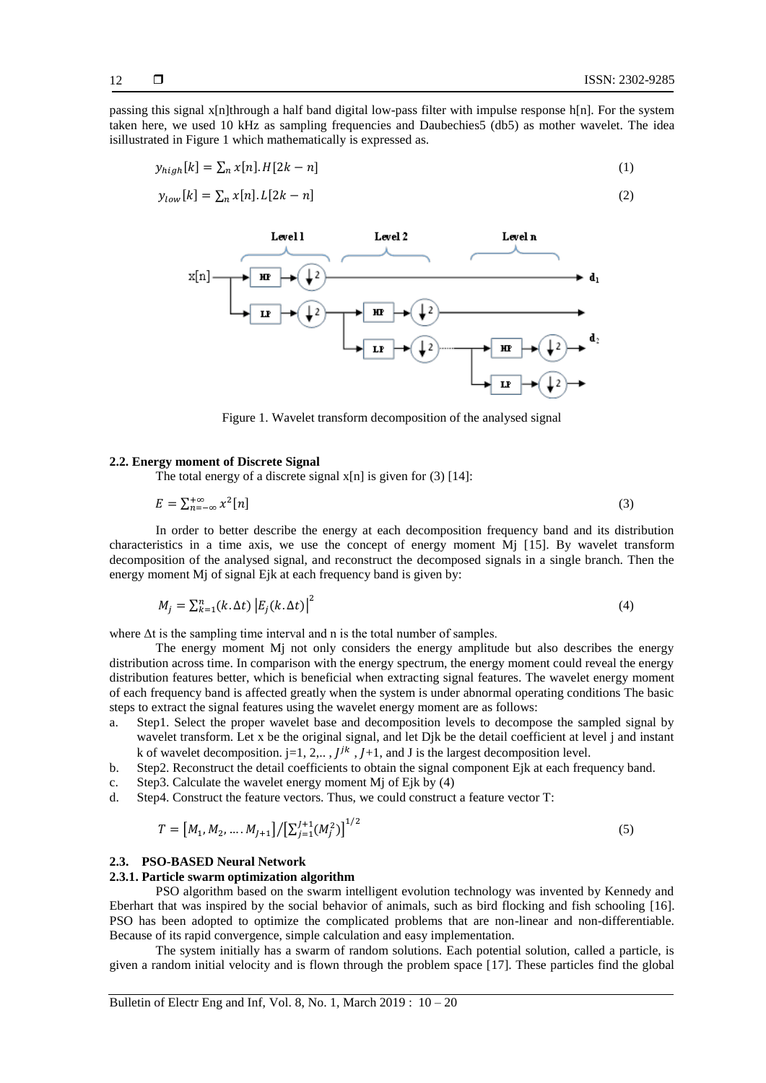passing this signal x[n]through a half band digital low-pass filter with impulse response h[n]. For the system taken here, we used 10 kHz as sampling frequencies and Daubechies5 (db5) as mother wavelet. The idea isillustrated in Figure 1 which mathematically is expressed as.

$$
y_{high}[k] = \sum_{n} x[n].H[2k - n] \tag{1}
$$

$$
y_{low}[k] = \sum_{n} x[n].L[2k - n] \tag{2}
$$



Figure 1. Wavelet transform decomposition of the analysed signal

#### **2.2. Energy moment of Discrete Signal**

The total energy of a discrete signal  $x[n]$  is given for (3) [14]:

$$
E = \sum_{n=-\infty}^{+\infty} x^2 [n] \tag{3}
$$

In order to better describe the energy at each decomposition frequency band and its distribution characteristics in a time axis, we use the concept of energy moment Mj [15]. By wavelet transform decomposition of the analysed signal, and reconstruct the decomposed signals in a single branch. Then the energy moment Mj of signal Ejk at each frequency band is given by:

$$
M_j = \sum_{k=1}^n (k \Delta t) \left| E_j(k \Delta t) \right|^2 \tag{4}
$$

where  $\Delta t$  is the sampling time interval and n is the total number of samples.

The energy moment Mj not only considers the energy amplitude but also describes the energy distribution across time. In comparison with the energy spectrum, the energy moment could reveal the energy distribution features better, which is beneficial when extracting signal features. The wavelet energy moment of each frequency band is affected greatly when the system is under abnormal operating conditions The basic steps to extract the signal features using the wavelet energy moment are as follows:

- a. Step1. Select the proper wavelet base and decomposition levels to decompose the sampled signal by wavelet transform. Let x be the original signal, and let Djk be the detail coefficient at level j and instant k of wavelet decomposition. j=1, 2,..,  $J^{jk}$ ,  $J+1$ , and J is the largest decomposition level.
- b. Step2. Reconstruct the detail coefficients to obtain the signal component Ejk at each frequency band.
- c. Step3. Calculate the wavelet energy moment Mj of Ejk by (4)
- d. Step4. Construct the feature vectors. Thus, we could construct a feature vector T:

$$
T = [M_1, M_2, \dots, M_{J+1}] / [\sum_{j=1}^{J+1} (M_j^2)]^{1/2}
$$
\n
$$
(5)
$$

## **2.3. PSO-BASED Neural Network**

#### **2.3.1. Particle swarm optimization algorithm**

PSO algorithm based on the swarm intelligent evolution technology was invented by Kennedy and Eberhart that was inspired by the social behavior of animals, such as bird flocking and fish schooling [16]. PSO has been adopted to optimize the complicated problems that are non-linear and non-differentiable. Because of its rapid convergence, simple calculation and easy implementation.

The system initially has a swarm of random solutions. Each potential solution, called a particle, is given a random initial velocity and is flown through the problem space [17]. These particles find the global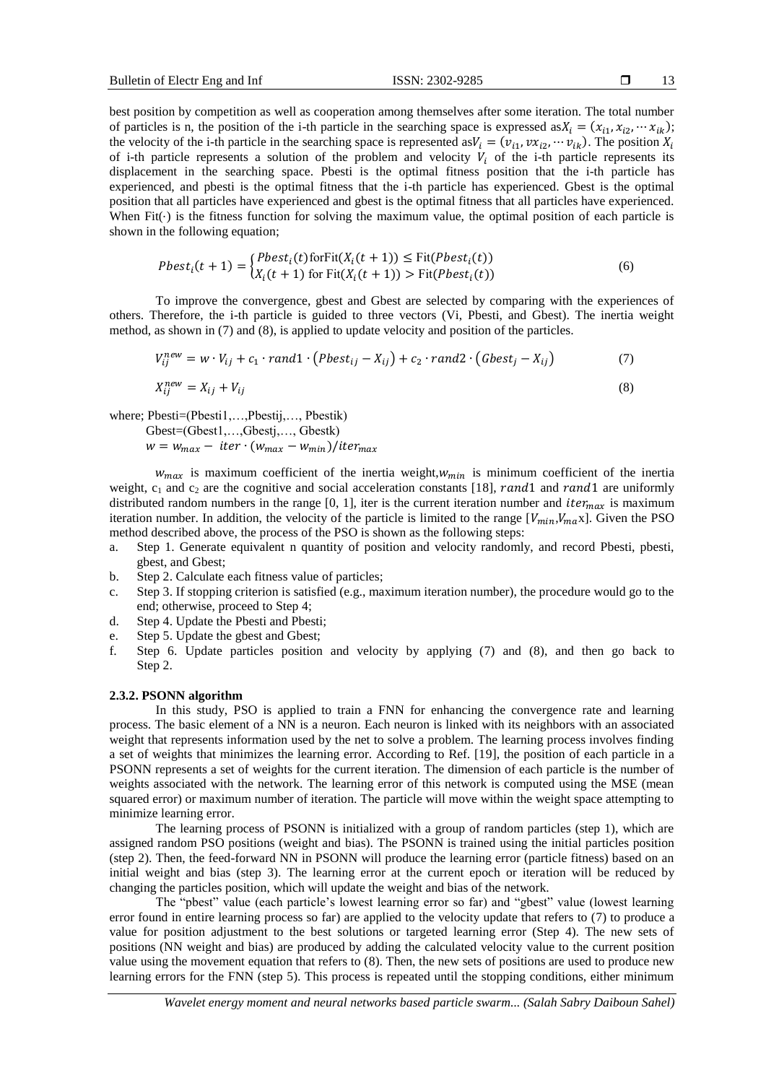13

best position by competition as well as cooperation among themselves after some iteration. The total number of particles is n, the position of the i-th particle in the searching space is expressed as  $X_i = (x_{i1}, x_{i2}, \dots, x_{ik})$ ; the velocity of the i-th particle in the searching space is represented as  $V_i = (v_{i1}, vx_{i2}, \dots v_{ik})$ . The position of i-th particle represents a solution of the problem and velocity  $V_i$  of the i-th particle represents its displacement in the searching space. Pbesti is the optimal fitness position that the i-th particle has experienced, and pbesti is the optimal fitness that the i-th particle has experienced. Gbest is the optimal position that all particles have experienced and gbest is the optimal fitness that all particles have experienced. When Fit $(\cdot)$  is the fitness function for solving the maximum value, the optimal position of each particle is shown in the following equation;

$$
Pbest_i(t+1) = \begin{cases} Pbest_i(t) \text{forFit}(X_i(t+1)) \leq \text{Fit}(Pbest_i(t)) \\ X_i(t+1) \text{ for Fit}(X_i(t+1)) > \text{Fit}(Pbest_i(t)) \end{cases} (6)
$$

To improve the convergence, gbest and Gbest are selected by comparing with the experiences of others. Therefore, the i-th particle is guided to three vectors (Vi, Pbesti, and Gbest). The inertia weight method, as shown in (7) and (8), is applied to update velocity and position of the particles.

$$
V_{ij}^{new} = w \cdot V_{ij} + c_1 \cdot rand1 \cdot (Pbest_{ij} - X_{ij}) + c_2 \cdot rand2 \cdot (Gbest_j - X_{ij})
$$
\n
$$
X_{ij}^{new} = X_{ij} + V_{ij}
$$
\n(8)

where; Pbesti=(Pbesti1,…,Pbestij,…, Pbestik)

Gbest=(Gbest1,…,Gbestj,…, Gbestk)  $w = w_{max} - iter \cdot (w_{max} - w_{min})/iter_{max}$ 

 $w_{max}$  is maximum coefficient of the inertia weight,  $w_{min}$  is minimum coefficient of the inertia weight,  $c_1$  and  $c_2$  are the cognitive and social acceleration constants [18], rand1 and rand1 are uniformly distributed random numbers in the range [0, 1], iter is the current iteration number and *iter<sub>max</sub>* is maximum iteration number. In addition, the velocity of the particle is limited to the range  $[V_{min}, V_{max}]$ . Given the PSO method described above, the process of the PSO is shown as the following steps:

- a. Step 1. Generate equivalent n quantity of position and velocity randomly, and record Pbesti, pbesti, gbest, and Gbest;
- b. Step 2. Calculate each fitness value of particles;
- c. Step 3. If stopping criterion is satisfied (e.g., maximum iteration number), the procedure would go to the end; otherwise, proceed to Step 4;
- d. Step 4. Update the Pbesti and Pbesti;
- e. Step 5. Update the gbest and Gbest;
- f. Step 6. Update particles position and velocity by applying (7) and (8), and then go back to Step 2.

### **2.3.2. PSONN algorithm**

In this study, PSO is applied to train a FNN for enhancing the convergence rate and learning process. The basic element of a NN is a neuron. Each neuron is linked with its neighbors with an associated weight that represents information used by the net to solve a problem. The learning process involves finding a set of weights that minimizes the learning error. According to Ref. [19], the position of each particle in a PSONN represents a set of weights for the current iteration. The dimension of each particle is the number of weights associated with the network. The learning error of this network is computed using the MSE (mean squared error) or maximum number of iteration. The particle will move within the weight space attempting to minimize learning error.

The learning process of PSONN is initialized with a group of random particles (step 1), which are assigned random PSO positions (weight and bias). The PSONN is trained using the initial particles position (step 2). Then, the feed-forward NN in PSONN will produce the learning error (particle fitness) based on an initial weight and bias (step 3). The learning error at the current epoch or iteration will be reduced by changing the particles position, which will update the weight and bias of the network.

The "pbest" value (each particle's lowest learning error so far) and "gbest" value (lowest learning error found in entire learning process so far) are applied to the velocity update that refers to (7) to produce a value for position adjustment to the best solutions or targeted learning error (Step 4). The new sets of positions (NN weight and bias) are produced by adding the calculated velocity value to the current position value using the movement equation that refers to (8). Then, the new sets of positions are used to produce new learning errors for the FNN (step 5). This process is repeated until the stopping conditions, either minimum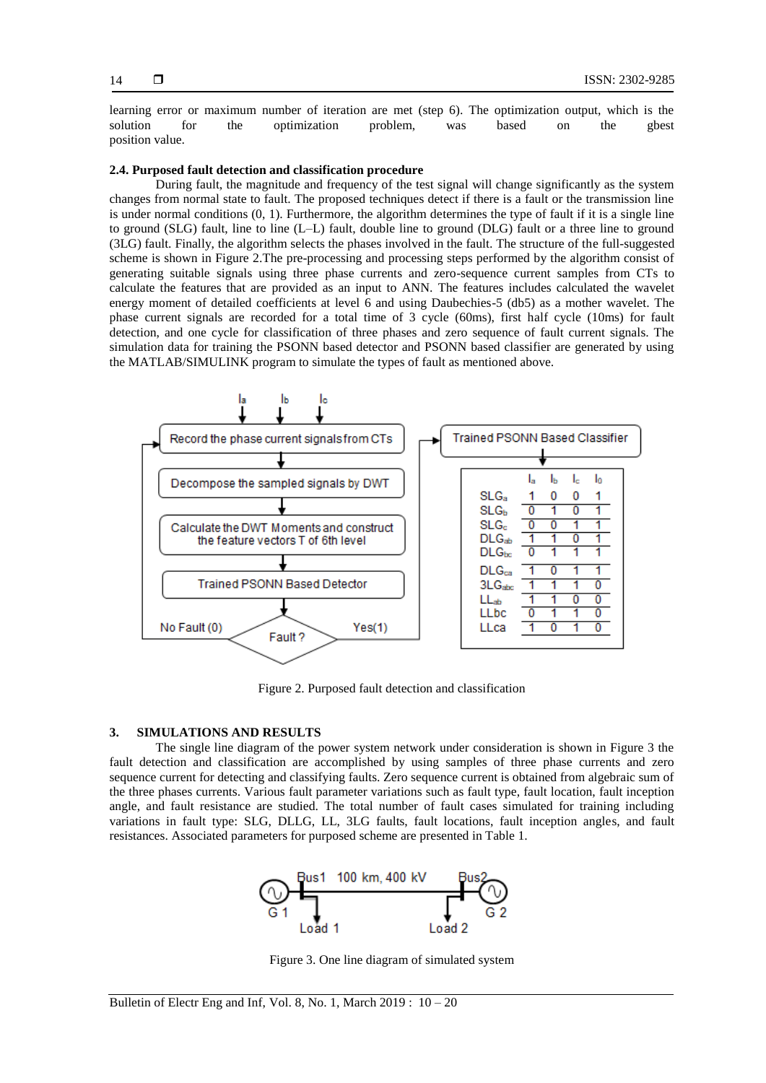learning error or maximum number of iteration are met (step 6). The optimization output, which is the solution for the optimization problem, was based on the gbest position value.

## **2.4. Purposed fault detection and classification procedure**

During fault, the magnitude and frequency of the test signal will change significantly as the system changes from normal state to fault. The proposed techniques detect if there is a fault or the transmission line is under normal conditions  $(0, 1)$ . Furthermore, the algorithm determines the type of fault if it is a single line to ground (SLG) fault, line to line (L–L) fault, double line to ground (DLG) fault or a three line to ground (3LG) fault. Finally, the algorithm selects the phases involved in the fault. The structure of the full-suggested scheme is shown in Figure 2.The pre-processing and processing steps performed by the algorithm consist of generating suitable signals using three phase currents and zero-sequence current samples from CTs to calculate the features that are provided as an input to ANN. The features includes calculated the wavelet energy moment of detailed coefficients at level 6 and using Daubechies-5 (db5) as a mother wavelet. The phase current signals are recorded for a total time of 3 cycle (60ms), first half cycle (10ms) for fault detection, and one cycle for classification of three phases and zero sequence of fault current signals. The simulation data for training the PSONN based detector and PSONN based classifier are generated by using the MATLAB/SIMULINK program to simulate the types of fault as mentioned above.



Figure 2. Purposed fault detection and classification

#### **3. SIMULATIONS AND RESULTS**

The single line diagram of the power system network under consideration is shown in Figure 3 the fault detection and classification are accomplished by using samples of three phase currents and zero sequence current for detecting and classifying faults. Zero sequence current is obtained from algebraic sum of the three phases currents. Various fault parameter variations such as fault type, fault location, fault inception angle, and fault resistance are studied. The total number of fault cases simulated for training including variations in fault type: SLG, DLLG, LL, 3LG faults, fault locations, fault inception angles, and fault resistances. Associated parameters for purposed scheme are presented in Table 1.



Figure 3. One line diagram of simulated system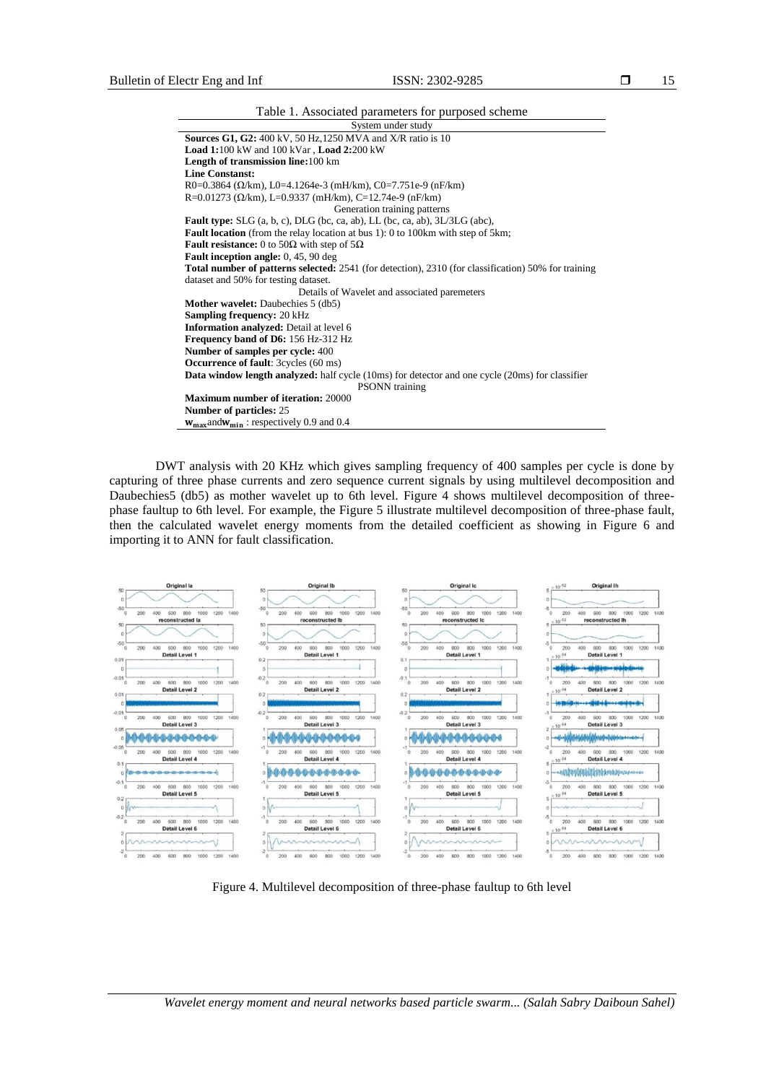| ٩<br>× |
|--------|
|--------|

| Table 1. Associated parameters for purposed scheme                                                         |
|------------------------------------------------------------------------------------------------------------|
| System under study                                                                                         |
| <b>Sources G1, G2:</b> 400 kV, 50 Hz, 1250 MVA and X/R ratio is 10                                         |
| Load 1:100 kW and 100 kVar, Load 2:200 kW                                                                  |
| Length of transmission line:100 km                                                                         |
| <b>Line Constanst:</b>                                                                                     |
| R0=0.3864 ( $\Omega$ /km), L0=4.1264e-3 (mH/km), C0=7.751e-9 (nF/km)                                       |
| R=0.01273 ( $\Omega$ /km), L=0.9337 (mH/km), C=12.74e-9 (nF/km)                                            |
| Generation training patterns                                                                               |
| <b>Fault type:</b> SLG $(a, b, c)$ , DLG $(bc, ca, ab)$ , LL $(bc, ca, ab)$ , 3L/3LG $(abc)$ ,             |
| <b>Fault location</b> (from the relay location at bus 1): 0 to 100km with step of 5km;                     |
| <b>Fault resistance:</b> 0 to 50 $\Omega$ with step of 5 $\Omega$                                          |
| <b>Fault inception angle:</b> 0, 45, 90 deg                                                                |
| <b>Total number of patterns selected:</b> 2541 (for detection), 2310 (for classification) 50% for training |
| dataset and 50% for testing dataset.                                                                       |
| Details of Wavelet and associated paremeters                                                               |
| <b>Mother wavelet:</b> Daubechies 5 (db5)                                                                  |
| <b>Sampling frequency: 20 kHz</b>                                                                          |
| <b>Information analyzed:</b> Detail at level 6                                                             |
| Frequency band of D6: 156 Hz-312 Hz                                                                        |
| Number of samples per cycle: 400                                                                           |
| <b>Occurrence of fault:</b> 3cycles (60 ms)                                                                |
| <b>Data window length analyzed:</b> half cycle (10ms) for detector and one cycle (20ms) for classifier     |
| <b>PSONN</b> training                                                                                      |
| <b>Maximum number of iteration: 20000</b>                                                                  |
| Number of particles: 25                                                                                    |
| $w_{\text{max}}$ and $w_{\text{min}}$ : respectively 0.9 and 0.4                                           |

DWT analysis with 20 KHz which gives sampling frequency of 400 samples per cycle is done by capturing of three phase currents and zero sequence current signals by using multilevel decomposition and Daubechies5 (db5) as mother wavelet up to 6th level. Figure 4 shows multilevel decomposition of threephase faultup to 6th level. For example, the Figure 5 illustrate multilevel decomposition of three-phase fault, then the calculated wavelet energy moments from the detailed coefficient as showing in Figure 6 and importing it to ANN for fault classification.



Figure 4. Multilevel decomposition of three-phase faultup to 6th level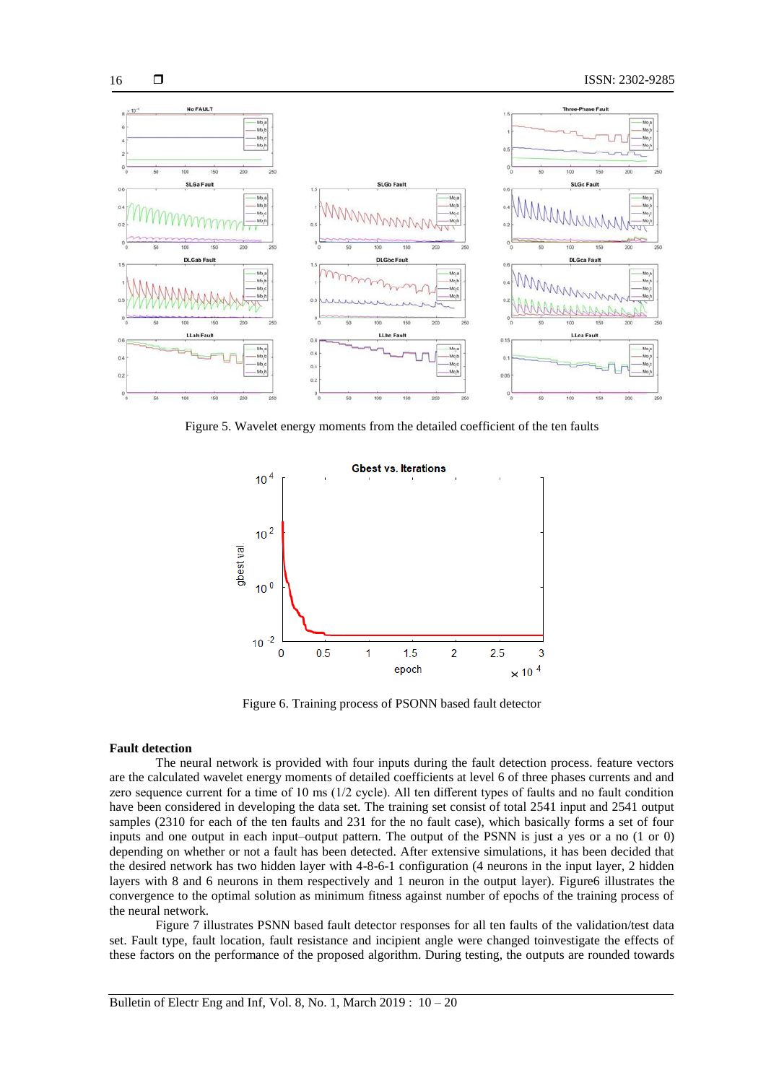

Figure 5. Wavelet energy moments from the detailed coefficient of the ten faults



Figure 6. Training process of PSONN based fault detector

#### **Fault detection**

The neural network is provided with four inputs during the fault detection process. feature vectors are the calculated wavelet energy moments of detailed coefficients at level 6 of three phases currents and and zero sequence current for a time of 10 ms (1/2 cycle). All ten different types of faults and no fault condition have been considered in developing the data set. The training set consist of total 2541 input and 2541 output samples (2310 for each of the ten faults and 231 for the no fault case), which basically forms a set of four inputs and one output in each input–output pattern. The output of the PSNN is just a yes or a no (1 or 0) depending on whether or not a fault has been detected. After extensive simulations, it has been decided that the desired network has two hidden layer with 4-8-6-1 configuration (4 neurons in the input layer, 2 hidden layers with 8 and 6 neurons in them respectively and 1 neuron in the output layer). Figure6 illustrates the convergence to the optimal solution as minimum fitness against number of epochs of the training process of the neural network.

Figure 7 illustrates PSNN based fault detector responses for all ten faults of the validation/test data set. Fault type, fault location, fault resistance and incipient angle were changed toinvestigate the effects of these factors on the performance of the proposed algorithm. During testing, the outputs are rounded towards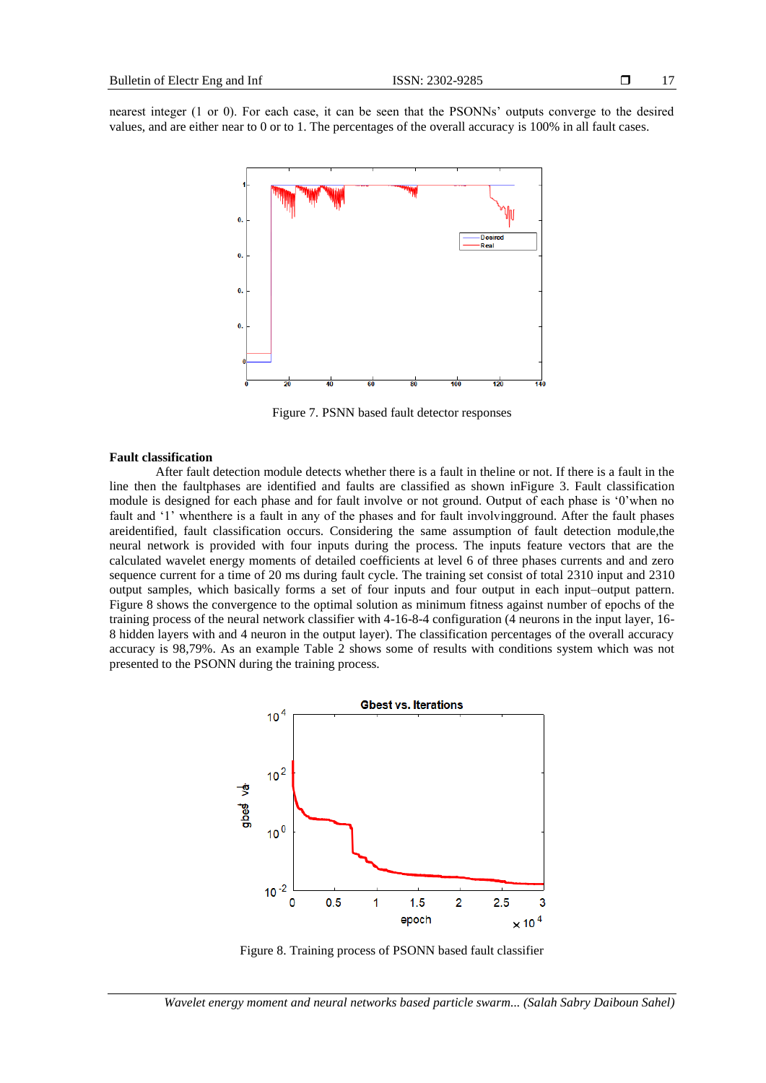nearest integer (1 or 0). For each case, it can be seen that the PSONNs' outputs converge to the desired values, and are either near to 0 or to 1. The percentages of the overall accuracy is 100% in all fault cases.



Figure 7. PSNN based fault detector responses

## **Fault classification**

After fault detection module detects whether there is a fault in theline or not. If there is a fault in the line then the faultphases are identified and faults are classified as shown inFigure 3. Fault classification module is designed for each phase and for fault involve or not ground. Output of each phase is '0'when no fault and ‗1' whenthere is a fault in any of the phases and for fault involvingground. After the fault phases areidentified, fault classification occurs. Considering the same assumption of fault detection module,the neural network is provided with four inputs during the process. The inputs feature vectors that are the calculated wavelet energy moments of detailed coefficients at level 6 of three phases currents and and zero sequence current for a time of 20 ms during fault cycle. The training set consist of total 2310 input and 2310 output samples, which basically forms a set of four inputs and four output in each input–output pattern. Figure 8 shows the convergence to the optimal solution as minimum fitness against number of epochs of the training process of the neural network classifier with 4-16-8-4 configuration (4 neurons in the input layer, 16- 8 hidden layers with and 4 neuron in the output layer). The classification percentages of the overall accuracy accuracy is 98,79%. As an example Table 2 shows some of results with conditions system which was not presented to the PSONN during the training process.



Figure 8. Training process of PSONN based fault classifier

*Wavelet energy moment and neural networks based particle swarm... (Salah Sabry Daiboun Sahel)*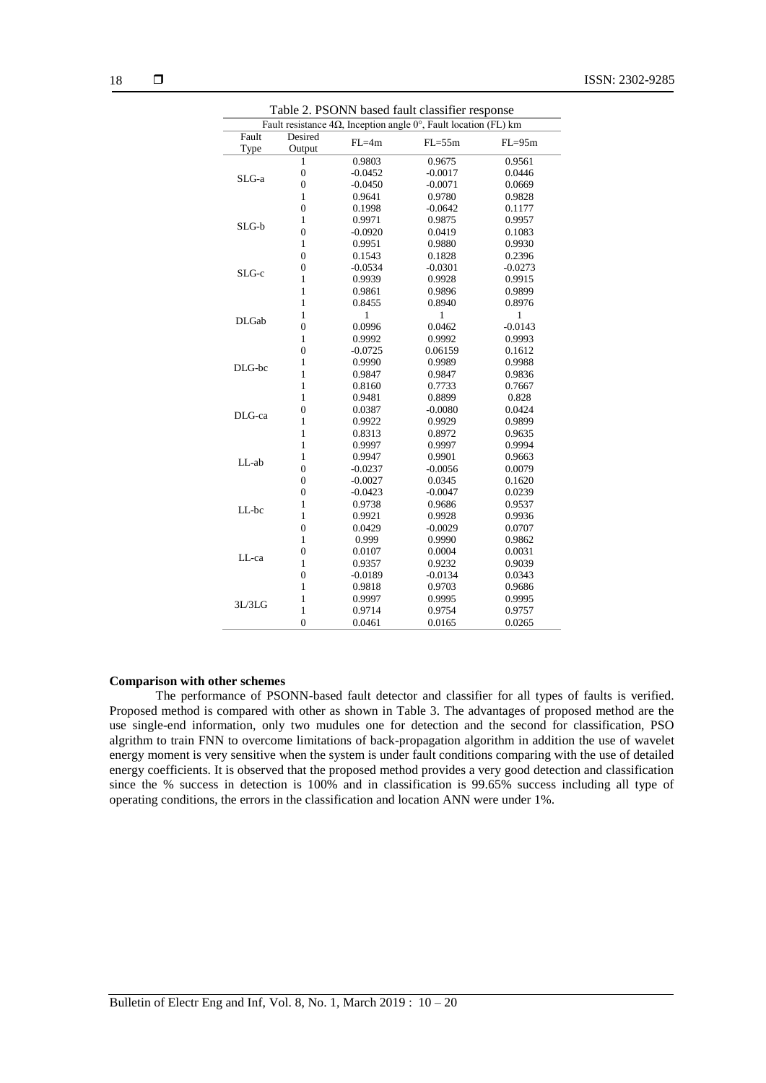| Table 2. PSONN based fault classifier response                                    |                   |           |            |            |  |  |
|-----------------------------------------------------------------------------------|-------------------|-----------|------------|------------|--|--|
| Fault resistance $4\Omega$ , Inception angle $0^{\circ}$ , Fault location (FL) km |                   |           |            |            |  |  |
| Fault<br>Type                                                                     | Desired<br>Output | $FL=4m$   | $FL = 55m$ | $FL = 95m$ |  |  |
|                                                                                   | 1                 | 0.9803    | 0.9675     | 0.9561     |  |  |
| SLG-a                                                                             | $\overline{0}$    | $-0.0452$ | $-0.0017$  | 0.0446     |  |  |
|                                                                                   | $\mathbf{0}$      | $-0.0450$ | $-0.0071$  | 0.0669     |  |  |
|                                                                                   | 1                 | 0.9641    | 0.9780     | 0.9828     |  |  |
| SLG-b                                                                             | $\mathbf{0}$      | 0.1998    | $-0.0642$  | 0.1177     |  |  |
|                                                                                   | $\mathbf{1}$      | 0.9971    | 0.9875     | 0.9957     |  |  |
|                                                                                   | $\overline{0}$    | $-0.0920$ | 0.0419     | 0.1083     |  |  |
|                                                                                   | $\mathbf{1}$      | 0.9951    | 0.9880     | 0.9930     |  |  |
| SLG-c                                                                             | $\overline{0}$    | 0.1543    | 0.1828     | 0.2396     |  |  |
|                                                                                   | $\mathbf{0}$      | $-0.0534$ | $-0.0301$  | $-0.0273$  |  |  |
|                                                                                   | $\mathbf{1}$      | 0.9939    | 0.9928     | 0.9915     |  |  |
|                                                                                   | $\mathbf{1}$      | 0.9861    | 0.9896     | 0.9899     |  |  |
|                                                                                   | 1                 | 0.8455    | 0.8940     | 0.8976     |  |  |
| <b>DLGab</b>                                                                      | 1                 | 1         | 1          | 1          |  |  |
|                                                                                   | $\overline{0}$    | 0.0996    | 0.0462     | $-0.0143$  |  |  |
|                                                                                   | 1                 | 0.9992    | 0.9992     | 0.9993     |  |  |
|                                                                                   | $\overline{0}$    | $-0.0725$ | 0.06159    | 0.1612     |  |  |
| DLG-bc                                                                            | $\mathbf{1}$      | 0.9990    | 0.9989     | 0.9988     |  |  |
|                                                                                   | $\mathbf{1}$      | 0.9847    | 0.9847     | 0.9836     |  |  |
|                                                                                   | $\mathbf{1}$      | 0.8160    | 0.7733     | 0.7667     |  |  |
|                                                                                   | $\mathbf{1}$      | 0.9481    | 0.8899     | 0.828      |  |  |
| DLG-ca                                                                            | $\overline{0}$    | 0.0387    | $-0.0080$  | 0.0424     |  |  |
|                                                                                   | $\mathbf{1}$      | 0.9922    | 0.9929     | 0.9899     |  |  |
|                                                                                   | $\mathbf{1}$      | 0.8313    | 0.8972     | 0.9635     |  |  |
| LL-ab                                                                             | $\mathbf{1}$      | 0.9997    | 0.9997     | 0.9994     |  |  |
|                                                                                   | $\mathbf{1}$      | 0.9947    | 0.9901     | 0.9663     |  |  |
|                                                                                   | $\overline{0}$    | $-0.0237$ | $-0.0056$  | 0.0079     |  |  |
|                                                                                   | $\mathbf{0}$      | $-0.0027$ | 0.0345     | 0.1620     |  |  |
|                                                                                   | $\mathbf{0}$      | $-0.0423$ | $-0.0047$  | 0.0239     |  |  |
| LL-bc                                                                             | $\mathbf{1}$      | 0.9738    | 0.9686     | 0.9537     |  |  |
|                                                                                   | $\mathbf{1}$      | 0.9921    | 0.9928     | 0.9936     |  |  |
|                                                                                   | $\mathbf{0}$      | 0.0429    | $-0.0029$  | 0.0707     |  |  |
| LL-ca                                                                             | $\mathbf{1}$      | 0.999     | 0.9990     | 0.9862     |  |  |
|                                                                                   | $\mathbf{0}$      | 0.0107    | 0.0004     | 0.0031     |  |  |
|                                                                                   | 1                 | 0.9357    | 0.9232     | 0.9039     |  |  |
|                                                                                   | $\mathbf{0}$      | $-0.0189$ | $-0.0134$  | 0.0343     |  |  |
| 3L/3LG                                                                            | $\mathbf{1}$      | 0.9818    | 0.9703     | 0.9686     |  |  |
|                                                                                   | 1                 | 0.9997    | 0.9995     | 0.9995     |  |  |
|                                                                                   | 1                 | 0.9714    | 0.9754     | 0.9757     |  |  |
|                                                                                   | $\overline{0}$    | 0.0461    | 0.0165     | 0.0265     |  |  |

## **Comparison with other schemes**

The performance of PSONN-based fault detector and classifier for all types of faults is verified. Proposed method is compared with other as shown in Table 3. The advantages of proposed method are the use single-end information, only two mudules one for detection and the second for classification, PSO algrithm to train FNN to overcome limitations of back-propagation algorithm in addition the use of wavelet energy moment is very sensitive when the system is under fault conditions comparing with the use of detailed energy coefficients. It is observed that the proposed method provides a very good detection and classification since the % success in detection is 100% and in classification is 99.65% success including all type of operating conditions, the errors in the classification and location ANN were under 1%.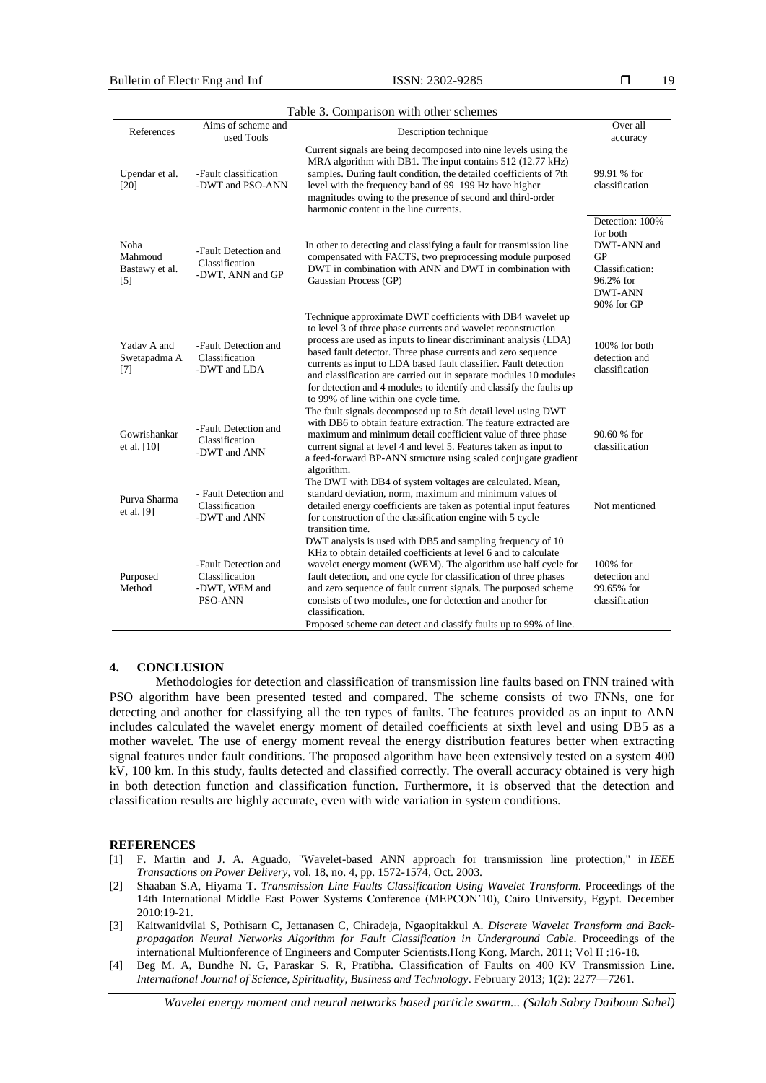19

| Table 3. Comparison with other schemes                 |                                                                    |                                                                                                                                                                                                                                                                                                                                                                                                                                                                                                                         |                                                                                                                  |  |  |  |  |
|--------------------------------------------------------|--------------------------------------------------------------------|-------------------------------------------------------------------------------------------------------------------------------------------------------------------------------------------------------------------------------------------------------------------------------------------------------------------------------------------------------------------------------------------------------------------------------------------------------------------------------------------------------------------------|------------------------------------------------------------------------------------------------------------------|--|--|--|--|
| References                                             | Aims of scheme and<br>used Tools                                   | Description technique                                                                                                                                                                                                                                                                                                                                                                                                                                                                                                   | Over all<br>accuracy                                                                                             |  |  |  |  |
| Upendar et al.<br>[20]                                 | -Fault classification<br>-DWT and PSO-ANN                          | Current signals are being decomposed into nine levels using the<br>MRA algorithm with DB1. The input contains 512 (12.77 kHz)<br>samples. During fault condition, the detailed coefficients of 7th<br>level with the frequency band of 99–199 Hz have higher<br>magnitudes owing to the presence of second and third-order<br>harmonic content in the line currents.                                                                                                                                                    | 99.91 % for<br>classification                                                                                    |  |  |  |  |
| Noha<br>Mahmoud<br>Bastawy et al.<br>$\lceil 5 \rceil$ | -Fault Detection and<br>Classification<br>-DWT, ANN and GP         | In other to detecting and classifying a fault for transmission line<br>compensated with FACTS, two preprocessing module purposed<br>DWT in combination with ANN and DWT in combination with<br>Gaussian Process (GP)                                                                                                                                                                                                                                                                                                    | Detection: 100%<br>for both<br>DWT-ANN and<br>GP<br>Classification:<br>96.2% for<br><b>DWT-ANN</b><br>90% for GP |  |  |  |  |
| Yadav A and<br>Swetapadma A<br>$[7]$                   | -Fault Detection and<br>Classification<br>-DWT and LDA             | Technique approximate DWT coefficients with DB4 wavelet up<br>to level 3 of three phase currents and wavelet reconstruction<br>process are used as inputs to linear discriminant analysis (LDA)<br>based fault detector. Three phase currents and zero sequence<br>currents as input to LDA based fault classifier. Fault detection<br>and classification are carried out in separate modules 10 modules<br>for detection and 4 modules to identify and classify the faults up<br>to 99% of line within one cycle time. | 100% for both<br>detection and<br>classification                                                                 |  |  |  |  |
| Gowrishankar<br>et al. $[10]$                          | -Fault Detection and<br>Classification<br>-DWT and ANN             | The fault signals decomposed up to 5th detail level using DWT<br>with DB6 to obtain feature extraction. The feature extracted are<br>maximum and minimum detail coefficient value of three phase<br>current signal at level 4 and level 5. Features taken as input to<br>a feed-forward BP-ANN structure using scaled conjugate gradient<br>algorithm.                                                                                                                                                                  | 90.60 % for<br>classification                                                                                    |  |  |  |  |
| Purva Sharma<br>et al. [9]                             | - Fault Detection and<br>Classification<br>-DWT and ANN            | The DWT with DB4 of system voltages are calculated. Mean,<br>standard deviation, norm, maximum and minimum values of<br>detailed energy coefficients are taken as potential input features<br>for construction of the classification engine with 5 cycle<br>transition time.                                                                                                                                                                                                                                            | Not mentioned                                                                                                    |  |  |  |  |
| Purposed<br>Method                                     | -Fault Detection and<br>Classification<br>-DWT, WEM and<br>PSO-ANN | DWT analysis is used with DB5 and sampling frequency of 10<br>KHz to obtain detailed coefficients at level 6 and to calculate<br>wavelet energy moment (WEM). The algorithm use half cycle for<br>fault detection, and one cycle for classification of three phases<br>and zero sequence of fault current signals. The purposed scheme<br>consists of two modules, one for detection and another for<br>classification.<br>Proposed scheme can detect and classify faults up to 99% of line.                            | $100\%$ for<br>detection and<br>99.65% for<br>classification                                                     |  |  |  |  |

## **4. CONCLUSION**

Methodologies for detection and classification of transmission line faults based on FNN trained with PSO algorithm have been presented tested and compared. The scheme consists of two FNNs, one for detecting and another for classifying all the ten types of faults. The features provided as an input to ANN includes calculated the wavelet energy moment of detailed coefficients at sixth level and using DB5 as a mother wavelet. The use of energy moment reveal the energy distribution features better when extracting signal features under fault conditions. The proposed algorithm have been extensively tested on a system 400 kV, 100 km. In this study, faults detected and classified correctly. The overall accuracy obtained is very high in both detection function and classification function. Furthermore, it is observed that the detection and classification results are highly accurate, even with wide variation in system conditions.

#### **REFERENCES**

- [1] F. Martin and J. A. Aguado, "Wavelet-based ANN approach for transmission line protection," in *IEEE Transactions on Power Delivery*, vol. 18, no. 4, pp. 1572-1574, Oct. 2003.
- [2] Shaaban S.A, Hiyama T. *Transmission Line Faults Classification Using Wavelet Transform*. Proceedings of the 14th International Middle East Power Systems Conference (MEPCON'10), Cairo University, Egypt. December 2010:19-21.
- [3] Kaitwanidvilai S, Pothisarn C, Jettanasen C, Chiradeja, Ngaopitakkul A. *Discrete Wavelet Transform and Backpropagation Neural Networks Algorithm for Fault Classification in Underground Cable*. Proceedings of the international Multionference of Engineers and Computer Scientists.Hong Kong. March. 2011; Vol II :16-18.
- [4] Beg M. A, Bundhe N. G, Paraskar S. R, Pratibha. Classification of Faults on 400 KV Transmission Line. *International Journal of Science, Spirituality, Business and Technology*. February 2013; 1(2): 2277—7261.

*Wavelet energy moment and neural networks based particle swarm... (Salah Sabry Daiboun Sahel)*